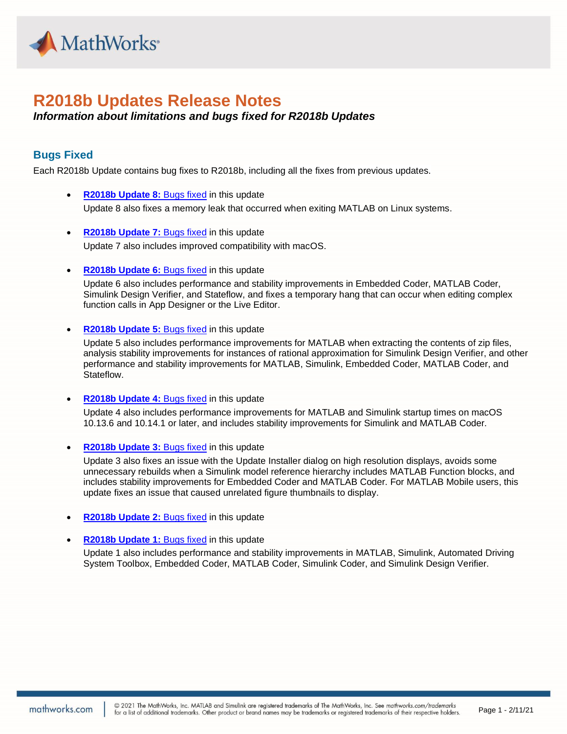

# **R2018b Updates Release Notes**

## *Information about limitations and bugs fixed for R2018b Updates*

### **Bugs Fixed**

Each R2018b Update contains bug fixes to R2018b, including all the fixes from previous updates.

- **R2018b Update 8:** [Bugs fixed](https://www.mathworks.com/support/bugreports/?utf8=%E2%9C%93&release_filter=Fixed+in&release=R2018b&sort_by=report-id-asc&fir%5b%5d=R2018b-Update-1&fir%5b%5d=R2018b-Update-2&fir%5b%5d=R2018b-Update-3&fir%5b%5d=R2018b-Update-4&fir%5b%5d=R2018b-Update-5&fir%5b%5d=R2018b-Update-6&fir%5b%5d=R2018b-Update-7&fir%5b%5d=R2018b-Update-8) in this update Update 8 also fixes a memory leak that occurred when exiting MATLAB on Linux systems.
- **R2018b Update 7: [Bugs fixed](https://www.mathworks.com/support/bugreports/?utf8=%E2%9C%93&release_filter=Fixed+in&release=R2018b&sort_by=report-id-asc&fir%5b%5d=R2018b-Update-1&fir%5b%5d=R2018b-Update-2&fir%5b%5d=R2018b-Update-3&fir%5b%5d=R2018b-Update-4&fir%5b%5d=R2018b-Update-5&fir%5b%5d=R2018b-Update-6&fir%5b%5d=R2018b-Update-7) in this update** Update 7 also includes improved compatibility with macOS.
- **R2018b Update 6: [Bugs fixed](https://www.mathworks.com/support/bugreports/?utf8=%E2%9C%93&release_filter=Fixed+in&release=R2018b&sort_by=report-id-asc&fir%5b%5d=R2018b-Update-1&fir%5b%5d=R2018b-Update-2&fir%5b%5d=R2018b-Update-3&fir%5b%5d=R2018b-Update-4&fir%5b%5d=R2018b-Update-5&fir%5b%5d=R2018b-Update-6) in this update**

Update 6 also includes performance and stability improvements in Embedded Coder, MATLAB Coder, Simulink Design Verifier, and Stateflow, and fixes a temporary hang that can occur when editing complex function calls in App Designer or the Live Editor.

#### • **R2018b Update 5:** [Bugs fixed](https://www.mathworks.com/support/bugreports/?utf8=%E2%9C%93&release_filter=Fixed+in&release=R2018b&sort_by=report-id-asc&fir%5b%5d=R2018b-Update-1&fir%5b%5d=R2018b-Update-2&fir%5b%5d=R2018b-Update-3&fir%5b%5d=R2018b-Update-4&fir%5b%5d=R2018b-Update-5) in this update

Update 5 also includes performance improvements for MATLAB when extracting the contents of zip files, analysis stability improvements for instances of rational approximation for Simulink Design Verifier, and other performance and stability improvements for MATLAB, Simulink, Embedded Coder, MATLAB Coder, and Stateflow.

• **R2018b Update 4:** [Bugs fixed](https://www.mathworks.com/support/bugreports/?utf8=%E2%9C%93&release_filter=Fixed+in&release=R2018b&sort_by=report-id-asc&fir%5b%5d=R2018b-Update-1&fir%5b%5d=R2018b-Update-2&fir%5b%5d=R2018b-Update-3&fir%5b%5d=R2018b-Update-4) in this update

Update 4 also includes performance improvements for MATLAB and Simulink startup times on macOS 10.13.6 and 10.14.1 or later, and includes stability improvements for Simulink and MATLAB Coder.

**R2018b Update 3: [Bugs fixed](https://www.mathworks.com/support/bugreports/?utf8=%E2%9C%93&release_filter=Fixed+in&release=R2018b&sort_by=report-id-asc&fir%5b%5d=R2018b-Update-1&fir%5b%5d=R2018b-Update-2&fir%5b%5d=R2018b-Update-3) in this update** 

Update 3 also fixes an issue with the Update Installer dialog on high resolution displays, avoids some unnecessary rebuilds when a Simulink model reference hierarchy includes MATLAB Function blocks, and includes stability improvements for Embedded Coder and MATLAB Coder. For MATLAB Mobile users, this update fixes an issue that caused unrelated figure thumbnails to display.

- **R2018b Update 2:** [Bugs fixed](https://www.mathworks.com/support/bugreports/?utf8=%E2%9C%93&release_filter=Fixed+in&release=R2018b&sort_by=report-id-asc&fir%5b%5d=R2018b-Update-1&fir%5b%5d=R2018b-Update-2) in this update
- **R2018b Update 1:** [Bugs fixed](https://www.mathworks.com/support/bugreports/?utf8=%E2%9C%93&release_filter=Fixed+in&release=R2018b&sort_by=report-id-asc&fir%5b%5d=R2018b-Update-1) in this update

Update 1 also includes performance and stability improvements in MATLAB, Simulink, Automated Driving System Toolbox, Embedded Coder, MATLAB Coder, Simulink Coder, and Simulink Design Verifier.